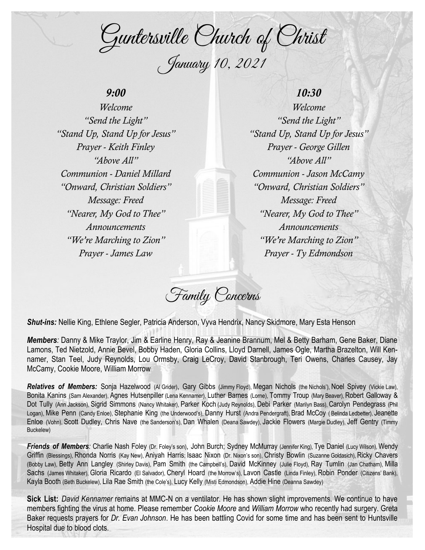Guntersville Church of Christ January 10, 2021

# *9:00*

*Welcome "Send the Light" "Stand Up, Stand Up for Jesus" Prayer - Keith Finley "Above All" Communion - Daniel Millard "Onward, Christian Soldiers" Message: Freed "Nearer, My God to Thee" Announcements "We're Marching to Zion" Prayer - James Law*

## *10:30*

*Welcome "Send the Light" "Stand Up, Stand Up for Jesus" Prayer - George Gillen "Above All" Communion - Jason McCamy "Onward, Christian Soldiers" Message: Freed "Nearer, My God to Thee" Announcements "We're Marching to Zion" Prayer - Ty Edmondson*

Family Concerns

*Shut-ins:* Nellie King, Ethlene Segler, Patricia Anderson, Vyva Hendrix, Nancy Skidmore, Mary Esta Henson

*Members:* Danny & Mike Traylor, Jim & Earline Henry, Ray & Jeanine Brannum, Mel & Betty Barham, Gene Baker, Diane Lamons, Ted Nietzold, Annie Bevel, Bobby Haden, Gloria Collins, Lloyd Darnell, James Ogle, Martha Brazelton, Will Kennamer, Stan Teel, Judy Reynolds, Lou Ormsby, Craig LeCroy, David Stanbrough, Teri Owens, Charles Causey, Jay McCamy, Cookie Moore, William Morrow

*Relatives of Members:* Sonja Hazelwood (Al Grider), Gary Gibbs (Jimmy Floyd), Megan Nichols (the Nichols'), Noel Spivey (Vickie Law), Bonita Kanins (Sam Alexander), Agnes Hutsenpiller (Lena Kennamer), Luther Barnes (Lorne), Tommy Troup (Mary Beaver), Robert Galloway & Dot Tully (Ann Jackson), Sigrid Simmons (Nancy Whitaker), Parker Koch (Judy Reynolds), Debi Parker (Marilyn Bass), Carolyn Pendegrass (Phil Logan), Mike Penn (Candy Enloe), Stephanie King (the Underwood's), Danny Hurst (Andra Pendergraft), Brad McCoy ( Belinda Ledbetter), Jeanette Enloe (Vohn), Scott Dudley, Chris Nave (the Sanderson's), Dan Whalen (Deana Sawdey), Jackie Flowers (Margie Dudley), Jeff Gentry (Timmy Buckelew)

Friends of Members: Charlie Nash Foley (Dr. Foley's son), John Burch; Sydney McMurray (Jennifer King), Tye Daniel (Lucy Wilson), Wendy Griffin (Blessings), Rhonda Norris (Kay New), Aniyah Harris; Isaac Nixon (Dr. Nixon's son), Christy Bowlin (Suzanne Goldasich), Ricky Chavers (Bobby Law), Betty Ann Langley (Shirley Davis), Pam Smith (the Campbell's), David McKinney (Julie Floyd), Ray Tumlin (Jan Chatham), Milla Sachs (James Whitaker), Gloria Ricardo (El Salvador), Cheryl Hoard (the Morrow's), Lavon Castle (Linda Finley), Robin Ponder (Citizens' Bank), Kayla Booth (Beth Buckelew), Lila Rae Smith (the Cole's), Lucy Kelly (Misti Edmondson), Addie Hine (Deanna Sawdey)

**Sick List:** *David Kennamer* remains at MMC-N on a ventilator. He has shown slight improvements. We continue to have members fighting the virus at home. Please remember *Cookie Moore* and *William Morrow* who recently had surgery. Greta Baker requests prayers for *Dr. Evan Johnson*. He has been battling Covid for some time and has been sent to Huntsville Hospital due to blood clots.